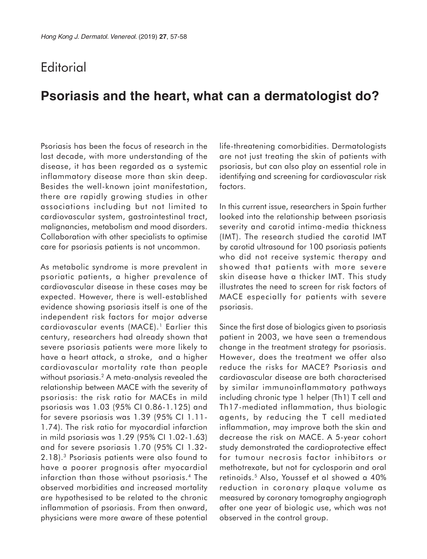## **Editorial**

## **Psoriasis and the heart, what can a dermatologist do?**

Psoriasis has been the focus of research in the last decade, with more understanding of the disease, it has been regarded as a systemic inflammatory disease more than skin deep. Besides the well-known joint manifestation, there are rapidly growing studies in other associations including but not limited to cardiovascular system, gastrointestinal tract, malignancies, metabolism and mood disorders. Collaboration with other specialists to optimise care for psoriasis patients is not uncommon.

As metabolic syndrome is more prevalent in psoriatic patients, a higher prevalence of cardiovascular disease in these cases may be expected. However, there is well-established evidence showing psoriasis itself is one of the independent risk factors for major adverse cardiovascular events (MACE).<sup>1</sup> Earlier this century, researchers had already shown that severe psoriasis patients were more likely to have a heart attack, a stroke, and a higher cardiovascular mortality rate than people without psoriasis.<sup>2</sup> A meta-analysis revealed the relationship between MACE with the severity of psoriasis: the risk ratio for MACEs in mild psoriasis was 1.03 (95% CI 0.86-1.125) and for severe psoriasis was 1.39 (95% CI 1.11- 1.74). The risk ratio for myocardial infarction in mild psoriasis was 1.29 (95% CI 1.02-1.63) and for severe psoriasis 1.70 (95% CI 1.32- 2.18).3 Psoriasis patients were also found to have a poorer prognosis after myocardial infarction than those without psoriasis.4 The observed morbidities and increased mortality are hypothesised to be related to the chronic inflammation of psoriasis. From then onward, physicians were more aware of these potential

life-threatening comorbidities. Dermatologists are not just treating the skin of patients with psoriasis, but can also play an essential role in identifying and screening for cardiovascular risk factors.

In this current issue, researchers in Spain further looked into the relationship between psoriasis severity and carotid intima-media thickness (IMT). The research studied the carotid IMT by carotid ultrasound for 100 psoriasis patients who did not receive systemic therapy and showed that patients with more severe skin disease have a thicker IMT. This study illustrates the need to screen for risk factors of MACE especially for patients with severe psoriasis.

Since the first dose of biologics given to psoriasis patient in 2003, we have seen a tremendous change in the treatment strategy for psoriasis. However, does the treatment we offer also reduce the risks for MACE? Psoriasis and cardiovascular disease are both characterised by similar immunoinflammatory pathways including chronic type 1 helper (Th1) T cell and Th17-mediated inflammation, thus biologic agents, by reducing the T cell mediated inflammation, may improve both the skin and decrease the risk on MACE. A 5-year cohort study demonstrated the cardioprotective effect for tumour necrosis factor inhibitors or methotrexate, but not for cyclosporin and oral retinoids.5 Also, Youssef et al showed a 40% reduction in coronary plaque volume as measured by coronary tomography angiograph after one year of biologic use, which was not observed in the control group.